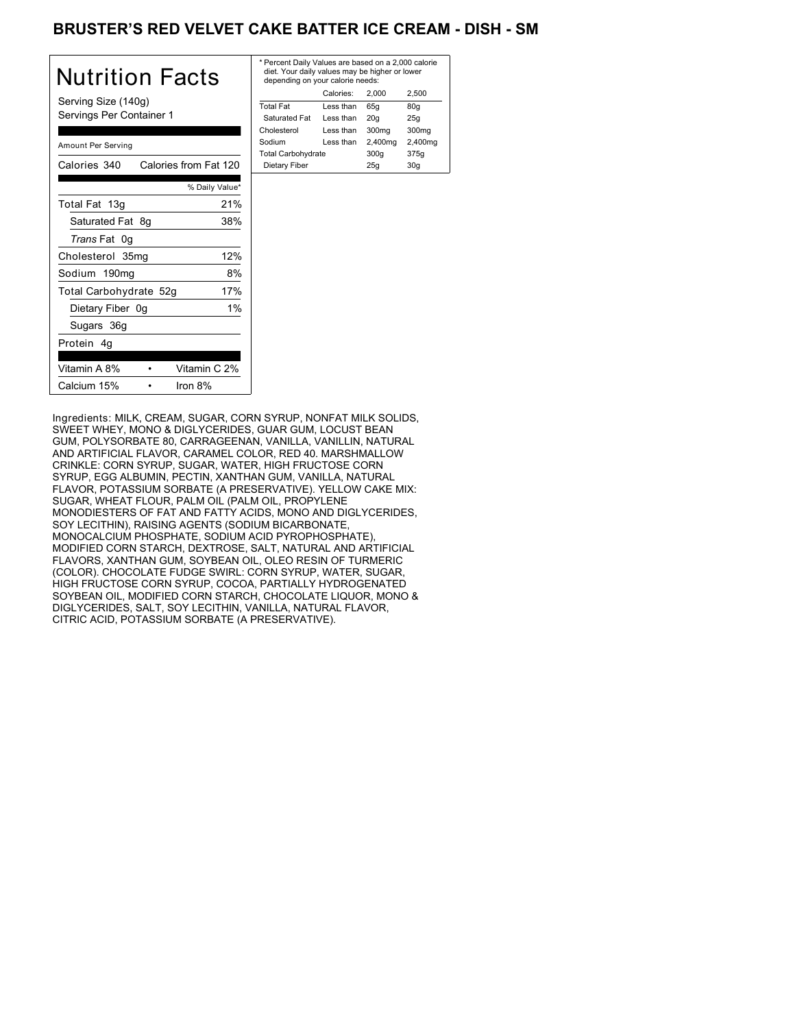# BRUSTER'S RED VELVET CAKE BATTER ICE CREAM - DISH - SM

| Nutrition Facts                                 | * Per<br>die<br>der  |
|-------------------------------------------------|----------------------|
| Serving Size (140g)<br>Servings Per Container 1 | Tota<br>Sat          |
| Amount Per Serving                              | Chol<br>Sodi<br>Tota |
| Calories 340<br>Calories from Fat 120           | Die                  |
| % Daily Value*                                  |                      |
| 21%<br>Total Fat 13g                            |                      |
| Saturated Fat 8g<br>38%                         |                      |
| Trans Fat 0g                                    |                      |
| 12%<br>Cholesterol 35mg                         |                      |
| Sodium 190mg<br>8%                              |                      |
| 17%<br>Total Carbohydrate 52g                   |                      |
| $1\%$<br>Dietary Fiber 0g                       |                      |
| Sugars 36g                                      |                      |
| Protein 4q                                      |                      |
| Vitamin A 8%<br>Vitamin C 2%                    |                      |
| Calcium 15%<br>Iron 8%                          |                      |

| * Percent Daily Values are based on a 2,000 calorie<br>diet. Your daily values may be higher or lower<br>depending on your calorie needs: |  |  |  |  |
|-------------------------------------------------------------------------------------------------------------------------------------------|--|--|--|--|
|                                                                                                                                           |  |  |  |  |
|                                                                                                                                           |  |  |  |  |
|                                                                                                                                           |  |  |  |  |
|                                                                                                                                           |  |  |  |  |
|                                                                                                                                           |  |  |  |  |
|                                                                                                                                           |  |  |  |  |
| Dietary Fiber<br>30q<br>25q                                                                                                               |  |  |  |  |
|                                                                                                                                           |  |  |  |  |

Ingredients: MILK, CREAM, SUGAR, CORN SYRUP, NONFAT MILK SOLIDS, SWEET WHEY, MONO & DIGLYCERIDES, GUAR GUM, LOCUST BEAN GUM, POLYSORBATE 80, CARRAGEENAN, VANILLA, VANILLIN, NATURAL AND ARTIFICIAL FLAVOR, CARAMEL COLOR, RED 40. MARSHMALLOW CRINKLE: CORN SYRUP, SUGAR, WATER, HIGH FRUCTOSE CORN SYRUP, EGG ALBUMIN, PECTIN, XANTHAN GUM, VANILLA, NATURAL FLAVOR, POTASSIUM SORBATE (A PRESERVATIVE). YELLOW CAKE MIX: SUGAR, WHEAT FLOUR, PALM OIL (PALM OIL, PROPYLENE MONODIESTERS OF FAT AND FATTY ACIDS, MONO AND DIGLYCERIDES, SOY LECITHIN), RAISING AGENTS (SODIUM BICARBONATE, MONOCALCIUM PHOSPHATE, SODIUM ACID PYROPHOSPHATE), MODIFIED CORN STARCH, DEXTROSE, SALT, NATURAL AND ARTIFICIAL FLAVORS, XANTHAN GUM, SOYBEAN OIL, OLEO RESIN OF TURMERIC (COLOR). CHOCOLATE FUDGE SWIRL: CORN SYRUP, WATER, SUGAR, HIGH FRUCTOSE CORN SYRUP, COCOA, PARTIALLY HYDROGENATED SOYBEAN OIL, MODIFIED CORN STARCH, CHOCOLATE LIQUOR, MONO & DIGLYCERIDES, SALT, SOY LECITHIN, VANILLA, NATURAL FLAVOR, CITRIC ACID, POTASSIUM SORBATE (A PRESERVATIVE).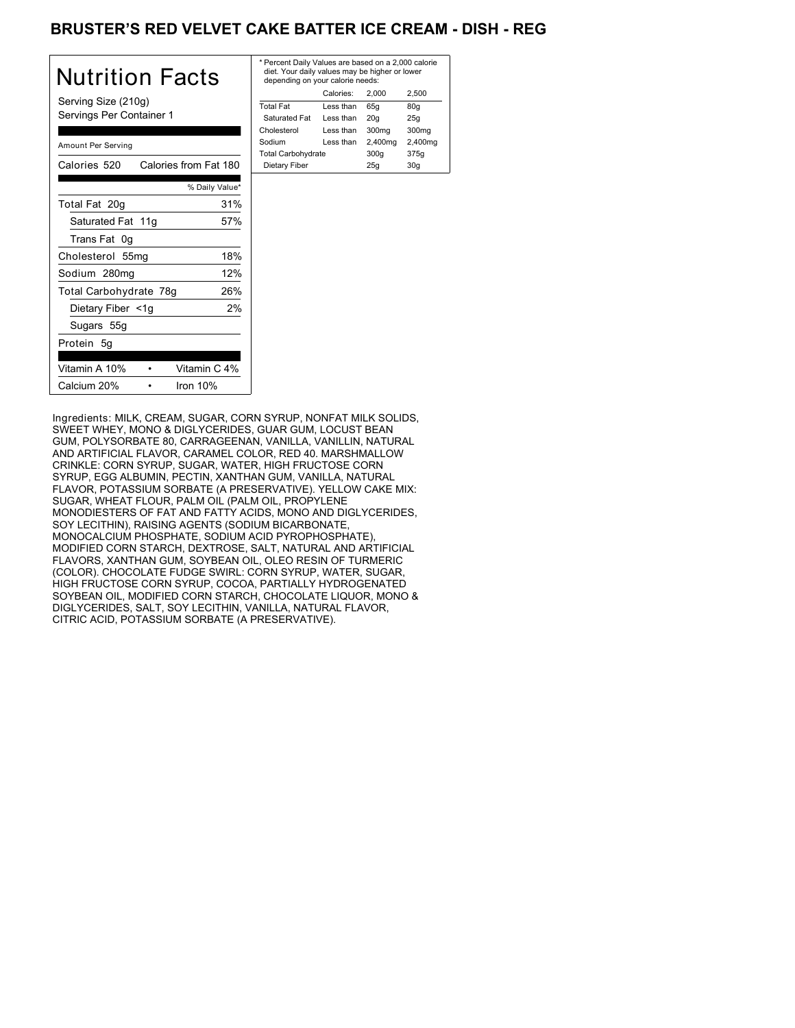# BRUSTER'S RED VELVET CAKE BATTER ICE CREAM - DISH - REG

| Nutrition Facts                                 | * Per<br>diet<br>dep    |
|-------------------------------------------------|-------------------------|
| Serving Size (210g)<br>Servings Per Container 1 | Total<br>Satu           |
| Amount Per Serving                              | Chole<br>Sodiu<br>Total |
| Calories 520 Calories from Fat 180              | Diet                    |
| % Daily Value*                                  |                         |
| 31%<br>Total Fat 20g                            |                         |
| Saturated Fat 11g<br>57%                        |                         |
| Trans Fat 0g                                    |                         |
| 18%<br>Cholesterol 55mg                         |                         |
| 12%<br>Sodium 280mg                             |                         |
| 26%<br>Total Carbohydrate 78g                   |                         |
| 2%<br>Dietary Fiber <1g                         |                         |
| Sugars 55g                                      |                         |
| Protein 5g                                      |                         |
| Vitamin C 4%<br>Vitamin A 10%                   |                         |
| Calcium 20%<br>Iron $10%$                       |                         |

| * Percent Daily Values are based on a 2,000 calorie<br>diet. Your daily values may be higher or lower<br>depending on your calorie needs: |                   |                   |  |  |
|-------------------------------------------------------------------------------------------------------------------------------------------|-------------------|-------------------|--|--|
| Calories:                                                                                                                                 | 2.000             | 2.500             |  |  |
| Less than                                                                                                                                 | 65q               | 80q               |  |  |
| Less than                                                                                                                                 | 20q               | 25q               |  |  |
| Less than                                                                                                                                 | 300 <sub>mg</sub> | 300 <sub>mq</sub> |  |  |
| Less than                                                                                                                                 | 2,400mg           | 2,400mg           |  |  |
| <b>Total Carbohydrate</b>                                                                                                                 |                   | 375g              |  |  |
| Dietary Fiber<br>30q<br>25q                                                                                                               |                   |                   |  |  |
|                                                                                                                                           |                   | 300q              |  |  |

Ingredients: MILK, CREAM, SUGAR, CORN SYRUP, NONFAT MILK SOLIDS, SWEET WHEY, MONO & DIGLYCERIDES, GUAR GUM, LOCUST BEAN GUM, POLYSORBATE 80, CARRAGEENAN, VANILLA, VANILLIN, NATURAL AND ARTIFICIAL FLAVOR, CARAMEL COLOR, RED 40. MARSHMALLOW CRINKLE: CORN SYRUP, SUGAR, WATER, HIGH FRUCTOSE CORN SYRUP, EGG ALBUMIN, PECTIN, XANTHAN GUM, VANILLA, NATURAL FLAVOR, POTASSIUM SORBATE (A PRESERVATIVE). YELLOW CAKE MIX: SUGAR, WHEAT FLOUR, PALM OIL (PALM OIL, PROPYLENE MONODIESTERS OF FAT AND FATTY ACIDS, MONO AND DIGLYCERIDES, SOY LECITHIN), RAISING AGENTS (SODIUM BICARBONATE, MONOCALCIUM PHOSPHATE, SODIUM ACID PYROPHOSPHATE), MODIFIED CORN STARCH, DEXTROSE, SALT, NATURAL AND ARTIFICIAL FLAVORS, XANTHAN GUM, SOYBEAN OIL, OLEO RESIN OF TURMERIC (COLOR). CHOCOLATE FUDGE SWIRL: CORN SYRUP, WATER, SUGAR, HIGH FRUCTOSE CORN SYRUP, COCOA, PARTIALLY HYDROGENATED SOYBEAN OIL, MODIFIED CORN STARCH, CHOCOLATE LIQUOR, MONO & DIGLYCERIDES, SALT, SOY LECITHIN, VANILLA, NATURAL FLAVOR, CITRIC ACID, POTASSIUM SORBATE (A PRESERVATIVE).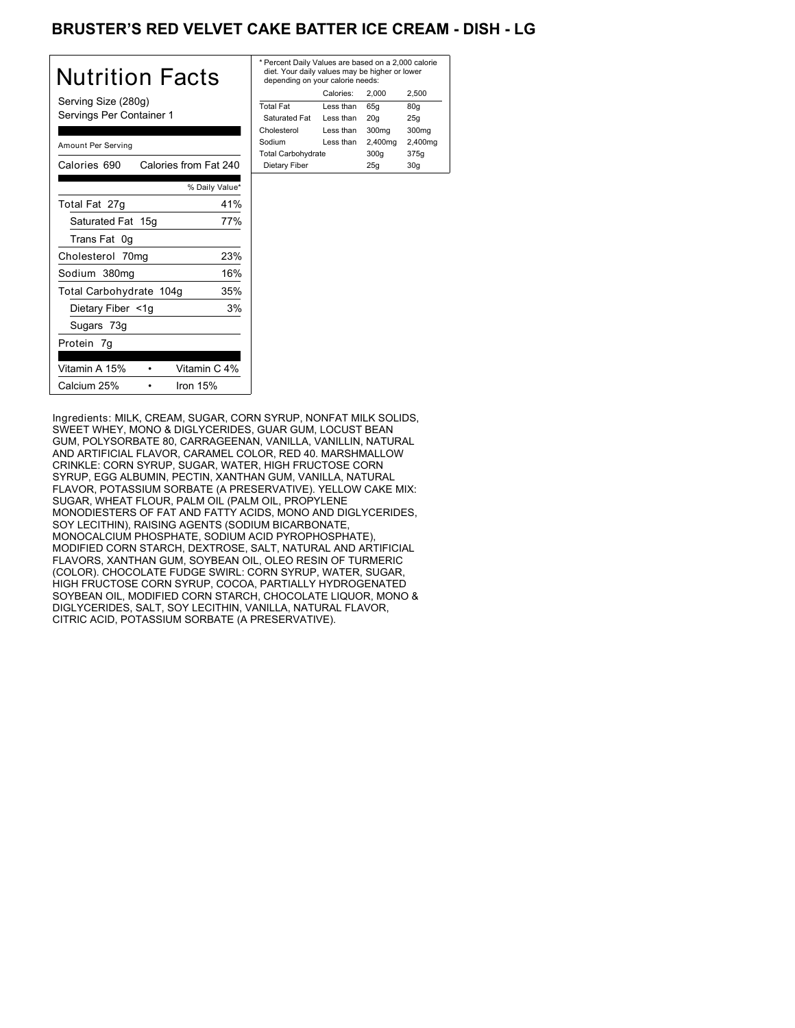# BRUSTER'S RED VELVET CAKE BATTER ICE CREAM - DISH - LG

| Nutrition Facts                                 | * P<br>d<br>d |
|-------------------------------------------------|---------------|
| Serving Size (280g)<br>Servings Per Container 1 | To<br>S<br>Ch |
| Amount Per Serving                              | So<br>Т٥      |
| Calories from Fat 240<br>Calories 690           | D             |
| % Daily Value*                                  |               |
| 41%<br>Total Fat 27g                            |               |
| Saturated Fat 15g<br>77%                        |               |
| Trans Fat 0g                                    |               |
| 23%<br>Cholesterol 70mg                         |               |
| 16%<br>Sodium 380mg                             |               |
| 35%<br>Total Carbohydrate 104g                  |               |
| 3%<br>Dietary Fiber <1g                         |               |
| Sugars 73g                                      |               |
| Protein 7g                                      |               |
| Vitamin A 15%<br>Vitamin C 4%                   |               |
| Calcium 25%<br>Iron 15%                         |               |

| * Percent Daily Values are based on a 2,000 calorie<br>diet. Your daily values may be higher or lower<br>depending on your calorie needs: |           |         |         |
|-------------------------------------------------------------------------------------------------------------------------------------------|-----------|---------|---------|
|                                                                                                                                           | Calories: | 2.000   | 2.500   |
| <b>Total Fat</b>                                                                                                                          | Less than | 65q     | 80q     |
| Saturated Fat                                                                                                                             | Less than | 20q     | 25q     |
| Cholesterol                                                                                                                               | Less than | 300mg   | 300mg   |
| Sodium                                                                                                                                    | Less than | 2,400mg | 2,400mg |
| <b>Total Carbohydrate</b>                                                                                                                 |           | 300q    | 375g    |
| Dietary Fiber                                                                                                                             |           | 25q     | 30q     |
|                                                                                                                                           |           |         |         |

Ingredients: MILK, CREAM, SUGAR, CORN SYRUP, NONFAT MILK SOLIDS, SWEET WHEY, MONO & DIGLYCERIDES, GUAR GUM, LOCUST BEAN GUM, POLYSORBATE 80, CARRAGEENAN, VANILLA, VANILLIN, NATURAL AND ARTIFICIAL FLAVOR, CARAMEL COLOR, RED 40. MARSHMALLOW CRINKLE: CORN SYRUP, SUGAR, WATER, HIGH FRUCTOSE CORN SYRUP, EGG ALBUMIN, PECTIN, XANTHAN GUM, VANILLA, NATURAL FLAVOR, POTASSIUM SORBATE (A PRESERVATIVE). YELLOW CAKE MIX: SUGAR, WHEAT FLOUR, PALM OIL (PALM OIL, PROPYLENE MONODIESTERS OF FAT AND FATTY ACIDS, MONO AND DIGLYCERIDES, SOY LECITHIN), RAISING AGENTS (SODIUM BICARBONATE, MONOCALCIUM PHOSPHATE, SODIUM ACID PYROPHOSPHATE), MODIFIED CORN STARCH, DEXTROSE, SALT, NATURAL AND ARTIFICIAL FLAVORS, XANTHAN GUM, SOYBEAN OIL, OLEO RESIN OF TURMERIC (COLOR). CHOCOLATE FUDGE SWIRL: CORN SYRUP, WATER, SUGAR, HIGH FRUCTOSE CORN SYRUP, COCOA, PARTIALLY HYDROGENATED SOYBEAN OIL, MODIFIED CORN STARCH, CHOCOLATE LIQUOR, MONO & DIGLYCERIDES, SALT, SOY LECITHIN, VANILLA, NATURAL FLAVOR, CITRIC ACID, POTASSIUM SORBATE (A PRESERVATIVE).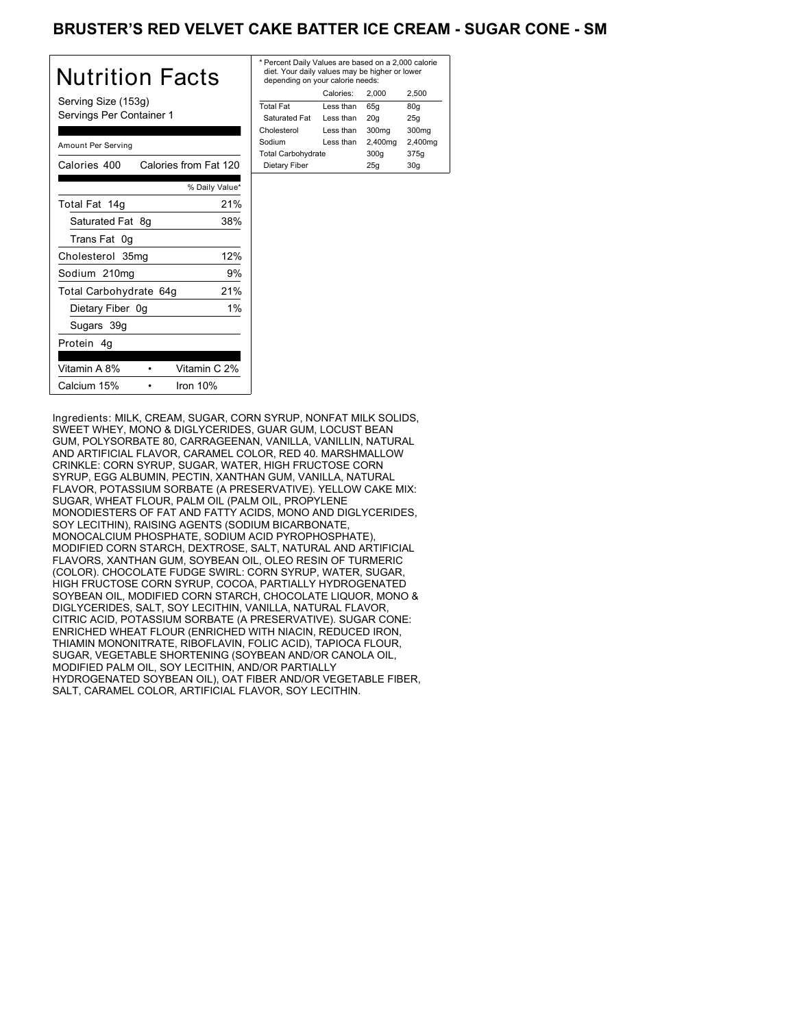# BRUSTER'S RED VELVET CAKE BATTER ICE CREAM - SUGAR CONE - SM

| Nutrition Facts                                 | * Per<br>diet<br>der |
|-------------------------------------------------|----------------------|
| Serving Size (153g)<br>Servings Per Container 1 | Total<br>Sat<br>Chol |
| Amount Per Serving                              | Sodi<br>Total        |
| Calories from Fat 120<br>Calories 400           | Die                  |
| % Daily Value*                                  |                      |
| 21%<br>Total Fat 14g                            |                      |
| Saturated Fat 8g<br>38%                         |                      |
| Trans Fat 0g                                    |                      |
| 12%<br>Cholesterol 35mg                         |                      |
| 9%<br>Sodium 210mg                              |                      |
| 21%<br>Total Carbohydrate 64g                   |                      |
| $1\%$<br>Dietary Fiber 0g                       |                      |
| Sugars 39g                                      |                      |
| Protein 4g                                      |                      |
| Vitamin A 8%<br>Vitamin C 2%                    |                      |
| Calcium 15%<br>Iron $10%$                       |                      |

| * Percent Daily Values are based on a 2,000 calorie<br>diet. Your daily values may be higher or lower<br>depending on your calorie needs: |           |         |         |  |
|-------------------------------------------------------------------------------------------------------------------------------------------|-----------|---------|---------|--|
|                                                                                                                                           | Calories: | 2.000   | 2.500   |  |
| <b>Total Fat</b>                                                                                                                          | Less than | 65q     | 80q     |  |
| Saturated Fat                                                                                                                             | Less than | 20q     | 25q     |  |
| Cholesterol                                                                                                                               | Less than | 300mg   | 300mg   |  |
| Sodium                                                                                                                                    | Less than | 2,400mg | 2,400mg |  |
| <b>Total Carbohydrate</b>                                                                                                                 |           | 300q    | 375g    |  |
| Dietary Fiber<br>25q<br>30q                                                                                                               |           |         |         |  |
|                                                                                                                                           |           |         |         |  |

Ingredients: MILK, CREAM, SUGAR, CORN SYRUP, NONFAT MILK SOLIDS, SWEET WHEY, MONO & DIGLYCERIDES, GUAR GUM, LOCUST BEAN GUM, POLYSORBATE 80, CARRAGEENAN, VANILLA, VANILLIN, NATURAL AND ARTIFICIAL FLAVOR, CARAMEL COLOR, RED 40. MARSHMALLOW CRINKLE: CORN SYRUP, SUGAR, WATER, HIGH FRUCTOSE CORN SYRUP, EGG ALBUMIN, PECTIN, XANTHAN GUM, VANILLA, NATURAL FLAVOR, POTASSIUM SORBATE (A PRESERVATIVE). YELLOW CAKE MIX: SUGAR, WHEAT FLOUR, PALM OIL (PALM OIL, PROPYLENE MONODIESTERS OF FAT AND FATTY ACIDS, MONO AND DIGLYCERIDES, SOY LECITHIN), RAISING AGENTS (SODIUM BICARBONATE, MONOCALCIUM PHOSPHATE, SODIUM ACID PYROPHOSPHATE), MODIFIED CORN STARCH, DEXTROSE, SALT, NATURAL AND ARTIFICIAL FLAVORS, XANTHAN GUM, SOYBEAN OIL, OLEO RESIN OF TURMERIC (COLOR). CHOCOLATE FUDGE SWIRL: CORN SYRUP, WATER, SUGAR, HIGH FRUCTOSE CORN SYRUP, COCOA, PARTIALLY HYDROGENATED SOYBEAN OIL, MODIFIED CORN STARCH, CHOCOLATE LIQUOR, MONO & DIGLYCERIDES, SALT, SOY LECITHIN, VANILLA, NATURAL FLAVOR, CITRIC ACID, POTASSIUM SORBATE (A PRESERVATIVE). SUGAR CONE: ENRICHED WHEAT FLOUR (ENRICHED WITH NIACIN, REDUCED IRON, THIAMIN MONONITRATE, RIBOFLAVIN, FOLIC ACID), TAPIOCA FLOUR, SUGAR, VEGETABLE SHORTENING (SOYBEAN AND/OR CANOLA OIL, MODIFIED PALM OIL, SOY LECITHIN, AND/OR PARTIALLY HYDROGENATED SOYBEAN OIL), OAT FIBER AND/OR VEGETABLE FIBER, SALT, CARAMEL COLOR, ARTIFICIAL FLAVOR, SOY LECITHIN.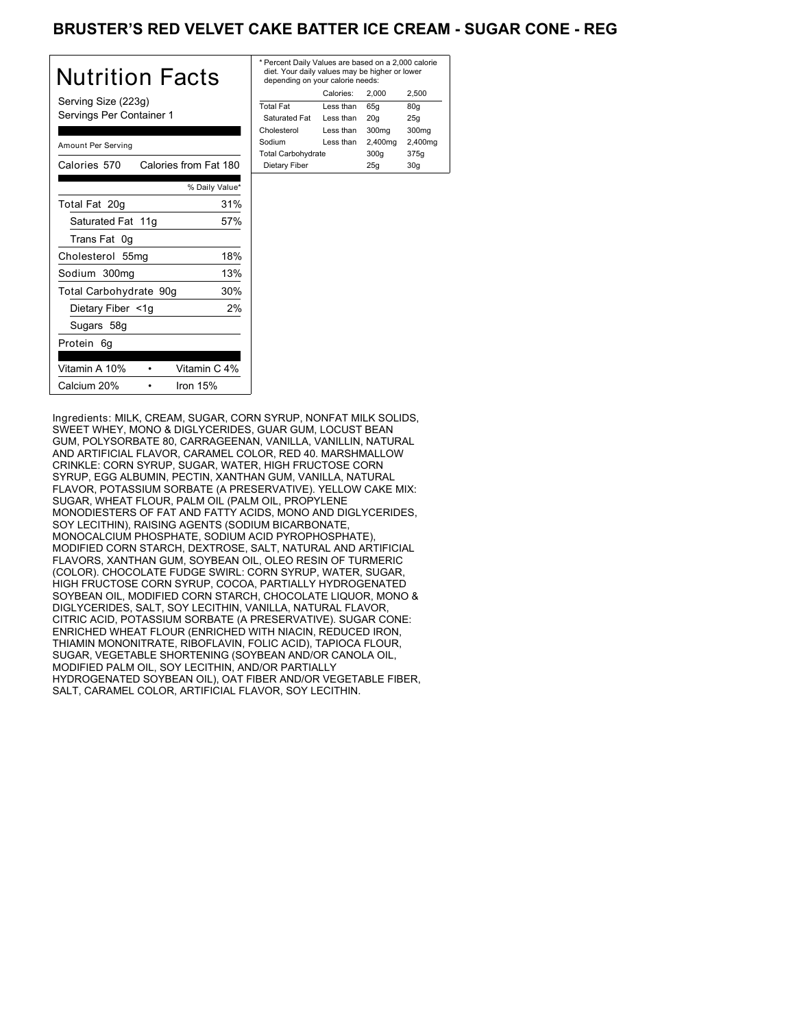# BRUSTER'S RED VELVET CAKE BATTER ICE CREAM - SUGAR CONE - REG

| Nutrition Facts                                 | * Per<br>die<br>der |
|-------------------------------------------------|---------------------|
| Serving Size (223g)<br>Servings Per Container 1 | Tota<br>Sat<br>Chol |
| Amount Per Serving                              | Sodi<br>Tota        |
| Calories 570<br>Calories from Fat 180           | Die                 |
| % Daily Value*                                  |                     |
| 31%<br>Total Fat 20q                            |                     |
| Saturated Fat 11g<br>57%                        |                     |
| Trans Fat 0g                                    |                     |
| 18%<br>Cholesterol 55mg                         |                     |
| 13%<br>Sodium 300mg                             |                     |
| 30%<br>Total Carbohydrate 90g                   |                     |
| Dietary Fiber <1g<br>2%                         |                     |
| Sugars 58g                                      |                     |
| Protein 6g                                      |                     |
| Vitamin C 4%<br>Vitamin A 10%                   |                     |
| Calcium 20%<br>Iron $15%$                       |                     |

| * Percent Daily Values are based on a 2,000 calorie<br>diet. Your daily values may be higher or lower<br>depending on your calorie needs: |           |         |                   |  |
|-------------------------------------------------------------------------------------------------------------------------------------------|-----------|---------|-------------------|--|
|                                                                                                                                           | Calories: | 2.000   | 2.500             |  |
| <b>Total Fat</b>                                                                                                                          | Less than | 65q     | 80q               |  |
| Saturated Fat                                                                                                                             | Less than | 20q     | 25q               |  |
| Cholesterol                                                                                                                               | Less than | 300mg   | 300 <sub>mq</sub> |  |
| Sodium                                                                                                                                    | Less than | 2,400mg | 2,400mg           |  |
| <b>Total Carbohydrate</b>                                                                                                                 |           | 300q    | 375g              |  |
| Dietary Fiber<br>25q<br>30q                                                                                                               |           |         |                   |  |
|                                                                                                                                           |           |         |                   |  |

Ingredients: MILK, CREAM, SUGAR, CORN SYRUP, NONFAT MILK SOLIDS, SWEET WHEY, MONO & DIGLYCERIDES, GUAR GUM, LOCUST BEAN GUM, POLYSORBATE 80, CARRAGEENAN, VANILLA, VANILLIN, NATURAL AND ARTIFICIAL FLAVOR, CARAMEL COLOR, RED 40. MARSHMALLOW CRINKLE: CORN SYRUP, SUGAR, WATER, HIGH FRUCTOSE CORN SYRUP, EGG ALBUMIN, PECTIN, XANTHAN GUM, VANILLA, NATURAL FLAVOR, POTASSIUM SORBATE (A PRESERVATIVE). YELLOW CAKE MIX: SUGAR, WHEAT FLOUR, PALM OIL (PALM OIL, PROPYLENE MONODIESTERS OF FAT AND FATTY ACIDS, MONO AND DIGLYCERIDES, SOY LECITHIN), RAISING AGENTS (SODIUM BICARBONATE, MONOCALCIUM PHOSPHATE, SODIUM ACID PYROPHOSPHATE), MODIFIED CORN STARCH, DEXTROSE, SALT, NATURAL AND ARTIFICIAL FLAVORS, XANTHAN GUM, SOYBEAN OIL, OLEO RESIN OF TURMERIC (COLOR). CHOCOLATE FUDGE SWIRL: CORN SYRUP, WATER, SUGAR, HIGH FRUCTOSE CORN SYRUP, COCOA, PARTIALLY HYDROGENATED SOYBEAN OIL, MODIFIED CORN STARCH, CHOCOLATE LIQUOR, MONO & DIGLYCERIDES, SALT, SOY LECITHIN, VANILLA, NATURAL FLAVOR, CITRIC ACID, POTASSIUM SORBATE (A PRESERVATIVE). SUGAR CONE: ENRICHED WHEAT FLOUR (ENRICHED WITH NIACIN, REDUCED IRON, THIAMIN MONONITRATE, RIBOFLAVIN, FOLIC ACID), TAPIOCA FLOUR, SUGAR, VEGETABLE SHORTENING (SOYBEAN AND/OR CANOLA OIL, MODIFIED PALM OIL, SOY LECITHIN, AND/OR PARTIALLY HYDROGENATED SOYBEAN OIL), OAT FIBER AND/OR VEGETABLE FIBER, SALT, CARAMEL COLOR, ARTIFICIAL FLAVOR, SOY LECITHIN.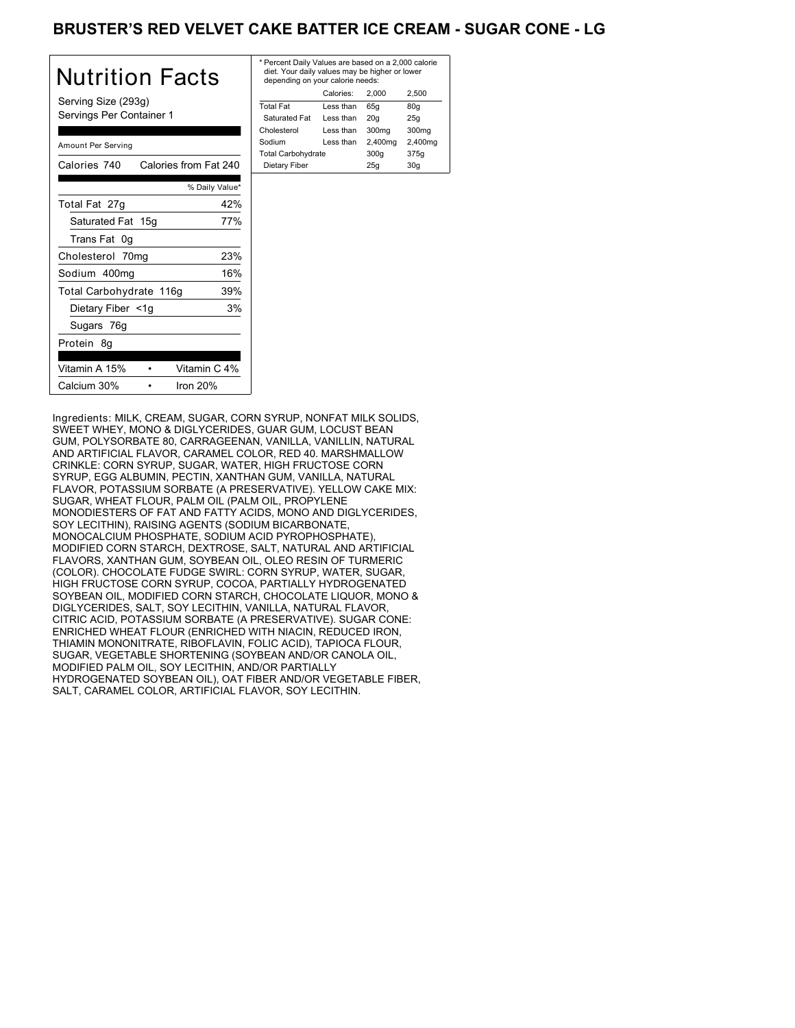# **BRUSTER'S RED VELVET CAKE BATTER ICE CREAM - SUGAR CONE - LG**

| Nutrition Facts                                 | * P<br>di<br>d <sub>6</sub> |
|-------------------------------------------------|-----------------------------|
| Serving Size (293g)<br>Servings Per Container 1 | Tot<br>Sa<br>Ch             |
| Amount Per Serving                              | Sor<br>Tot                  |
| Calories from Fat 240<br>Calories 740           | Di                          |
| % Daily Value*                                  |                             |
| 42%<br>Total Fat 27g                            |                             |
| Saturated Fat 15g<br>77%                        |                             |
| Trans Fat 0g                                    |                             |
| 23%<br>Cholesterol 70mg                         |                             |
| 16%<br>Sodium 400mg                             |                             |
| 39%<br>Total Carbohydrate 116g                  |                             |
| Dietary Fiber <1g<br>3%                         |                             |
| Sugars 76g                                      |                             |
| Protein 8g                                      |                             |
| Vitamin A 15%<br>Vitamin C 4%                   |                             |
| Calcium 30%<br>Iron 20%                         |                             |

| * Percent Daily Values are based on a 2,000 calorie<br>diet. Your daily values may be higher or lower<br>depending on your calorie needs: |           |         |         |  |
|-------------------------------------------------------------------------------------------------------------------------------------------|-----------|---------|---------|--|
|                                                                                                                                           | Calories: | 2.000   | 2.500   |  |
| <b>Total Fat</b>                                                                                                                          | Less than | 65q     | 80q     |  |
| Saturated Fat                                                                                                                             | Less than | 20q     | 25q     |  |
| Cholesterol                                                                                                                               | Less than | 300mg   | 300mg   |  |
| Sodium                                                                                                                                    | Less than | 2,400mg | 2,400mg |  |
| <b>Total Carbohydrate</b>                                                                                                                 |           | 300q    | 375g    |  |
| Dietary Fiber<br>25q<br>30q                                                                                                               |           |         |         |  |
|                                                                                                                                           |           |         |         |  |

Ingredients: MILK, CREAM, SUGAR, CORN SYRUP, NONFAT MILK SOLIDS, SWEET WHEY, MONO & DIGLYCERIDES, GUAR GUM, LOCUST BEAN GUM, POLYSORBATE 80, CARRAGEENAN, VANILLA, VANILLIN, NATURAL AND ARTIFICIAL FLAVOR, CARAMEL COLOR, RED 40. MARSHMALLOW CRINKLE: CORN SYRUP, SUGAR, WATER, HIGH FRUCTOSE CORN SYRUP, EGG ALBUMIN, PECTIN, XANTHAN GUM, VANILLA, NATURAL FLAVOR, POTASSIUM SORBATE (A PRESERVATIVE). YELLOW CAKE MIX: SUGAR, WHEAT FLOUR, PALM OIL (PALM OIL, PROPYLENE MONODIESTERS OF FAT AND FATTY ACIDS, MONO AND DIGLYCERIDES, SOY LECITHIN), RAISING AGENTS (SODIUM BICARBONATE, MONOCALCIUM PHOSPHATE, SODIUM ACID PYROPHOSPHATE), MODIFIED CORN STARCH, DEXTROSE, SALT, NATURAL AND ARTIFICIAL FLAVORS, XANTHAN GUM, SOYBEAN OIL, OLEO RESIN OF TURMERIC (COLOR). CHOCOLATE FUDGE SWIRL: CORN SYRUP, WATER, SUGAR, HIGH FRUCTOSE CORN SYRUP, COCOA, PARTIALLY HYDROGENATED SOYBEAN OIL, MODIFIED CORN STARCH, CHOCOLATE LIQUOR, MONO & DIGLYCERIDES, SALT, SOY LECITHIN, VANILLA, NATURAL FLAVOR, CITRIC ACID, POTASSIUM SORBATE (A PRESERVATIVE). SUGAR CONE: ENRICHED WHEAT FLOUR (ENRICHED WITH NIACIN, REDUCED IRON, THIAMIN MONONITRATE, RIBOFLAVIN, FOLIC ACID), TAPIOCA FLOUR, SUGAR, VEGETABLE SHORTENING (SOYBEAN AND/OR CANOLA OIL, MODIFIED PALM OIL, SOY LECITHIN, AND/OR PARTIALLY HYDROGENATED SOYBEAN OIL), OAT FIBER AND/OR VEGETABLE FIBER, SALT, CARAMEL COLOR, ARTIFICIAL FLAVOR, SOY LECITHIN.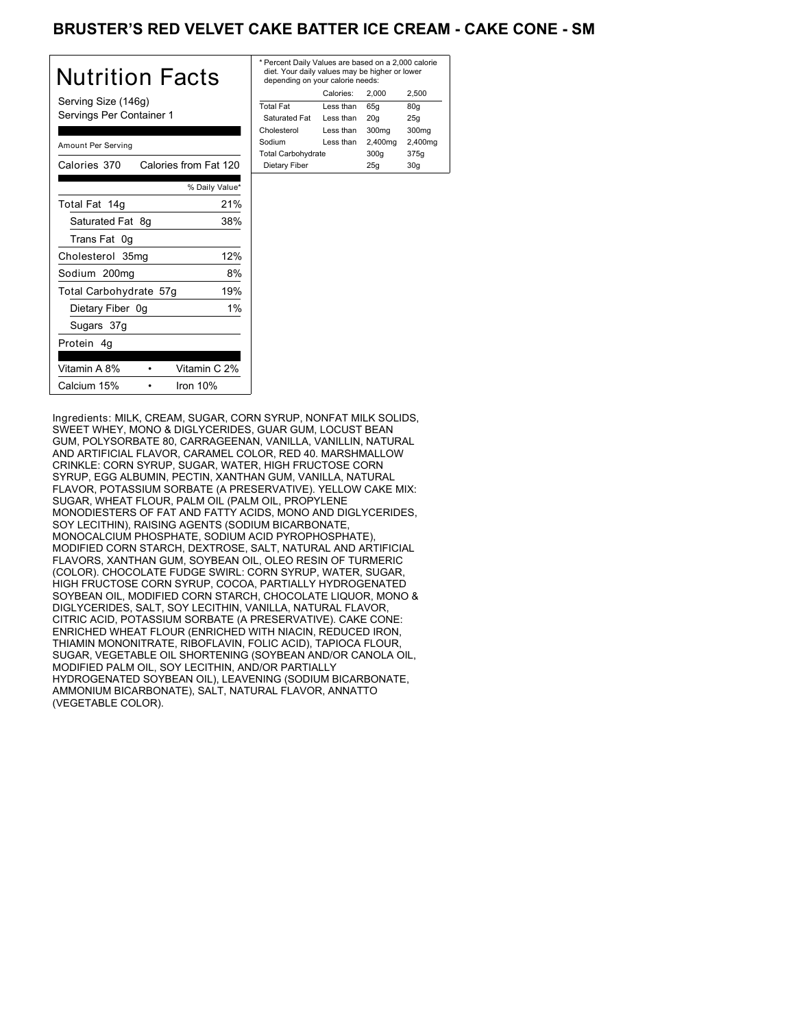# BRUSTER'S RED VELVET CAKE BATTER ICE CREAM - CAKE CONE - SM

| Nutrition Facts                                 | * Per<br>die<br>der |
|-------------------------------------------------|---------------------|
| Serving Size (146g)<br>Servings Per Container 1 | Tota<br>Sat<br>Chol |
| Amount Per Serving                              | Sodi<br>Tota        |
| Calories from Fat 120<br>Calories 370           | Die                 |
| % Daily Value*                                  |                     |
| 21%<br>Total Fat 14g                            |                     |
| Saturated Fat 8g<br>38%                         |                     |
| Trans Fat 0g                                    |                     |
| 12%<br>Cholesterol 35mg                         |                     |
| Sodium 200mg<br>8%                              |                     |
| 19%<br>Total Carbohydrate 57g                   |                     |
| 1%<br>Dietary Fiber 0g                          |                     |
| Sugars 37g                                      |                     |
| Protein 4q                                      |                     |
| Vitamin A 8%<br>Vitamin C 2%                    |                     |
| Calcium 15%<br>Iron $10%$                       |                     |

| * Percent Daily Values are based on a 2,000 calorie<br>diet. Your daily values may be higher or lower<br>depending on your calorie needs: |           |         |         |
|-------------------------------------------------------------------------------------------------------------------------------------------|-----------|---------|---------|
|                                                                                                                                           | Calories: | 2.000   | 2,500   |
| <b>Total Fat</b>                                                                                                                          | Less than | 65q     | 80q     |
| Saturated Fat                                                                                                                             | Less than | 20q     | 25q     |
| Cholesterol                                                                                                                               | Less than | 300mg   | 300mg   |
| Sodium                                                                                                                                    | Less than | 2,400mg | 2,400mg |
| <b>Total Carbohydrate</b>                                                                                                                 |           | 300q    | 375g    |
| Dietary Fiber                                                                                                                             |           | 25q     | 30q     |
|                                                                                                                                           |           |         |         |

Ingredients: MILK, CREAM, SUGAR, CORN SYRUP, NONFAT MILK SOLIDS, SWEET WHEY, MONO & DIGLYCERIDES, GUAR GUM, LOCUST BEAN GUM, POLYSORBATE 80, CARRAGEENAN, VANILLA, VANILLIN, NATURAL AND ARTIFICIAL FLAVOR, CARAMEL COLOR, RED 40. MARSHMALLOW CRINKLE: CORN SYRUP, SUGAR, WATER, HIGH FRUCTOSE CORN SYRUP, EGG ALBUMIN, PECTIN, XANTHAN GUM, VANILLA, NATURAL FLAVOR, POTASSIUM SORBATE (A PRESERVATIVE). YELLOW CAKE MIX: SUGAR, WHEAT FLOUR, PALM OIL (PALM OIL, PROPYLENE MONODIESTERS OF FAT AND FATTY ACIDS, MONO AND DIGLYCERIDES, SOY LECITHIN), RAISING AGENTS (SODIUM BICARBONATE, MONOCALCIUM PHOSPHATE, SODIUM ACID PYROPHOSPHATE), MODIFIED CORN STARCH, DEXTROSE, SALT, NATURAL AND ARTIFICIAL FLAVORS, XANTHAN GUM, SOYBEAN OIL, OLEO RESIN OF TURMERIC (COLOR). CHOCOLATE FUDGE SWIRL: CORN SYRUP, WATER, SUGAR, HIGH FRUCTOSE CORN SYRUP, COCOA, PARTIALLY HYDROGENATED SOYBEAN OIL, MODIFIED CORN STARCH, CHOCOLATE LIQUOR, MONO & DIGLYCERIDES, SALT, SOY LECITHIN, VANILLA, NATURAL FLAVOR, CITRIC ACID, POTASSIUM SORBATE (A PRESERVATIVE). CAKE CONE: ENRICHED WHEAT FLOUR (ENRICHED WITH NIACIN, REDUCED IRON, THIAMIN MONONITRATE, RIBOFLAVIN, FOLIC ACID), TAPIOCA FLOUR, SUGAR, VEGETABLE OIL SHORTENING (SOYBEAN AND/OR CANOLA OIL, MODIFIED PALM OIL, SOY LECITHIN, AND/OR PARTIALLY HYDROGENATED SOYBEAN OIL), LEAVENING (SODIUM BICARBONATE, AMMONIUM BICARBONATE), SALT, NATURAL FLAVOR, ANNATTO (VEGETABLE COLOR).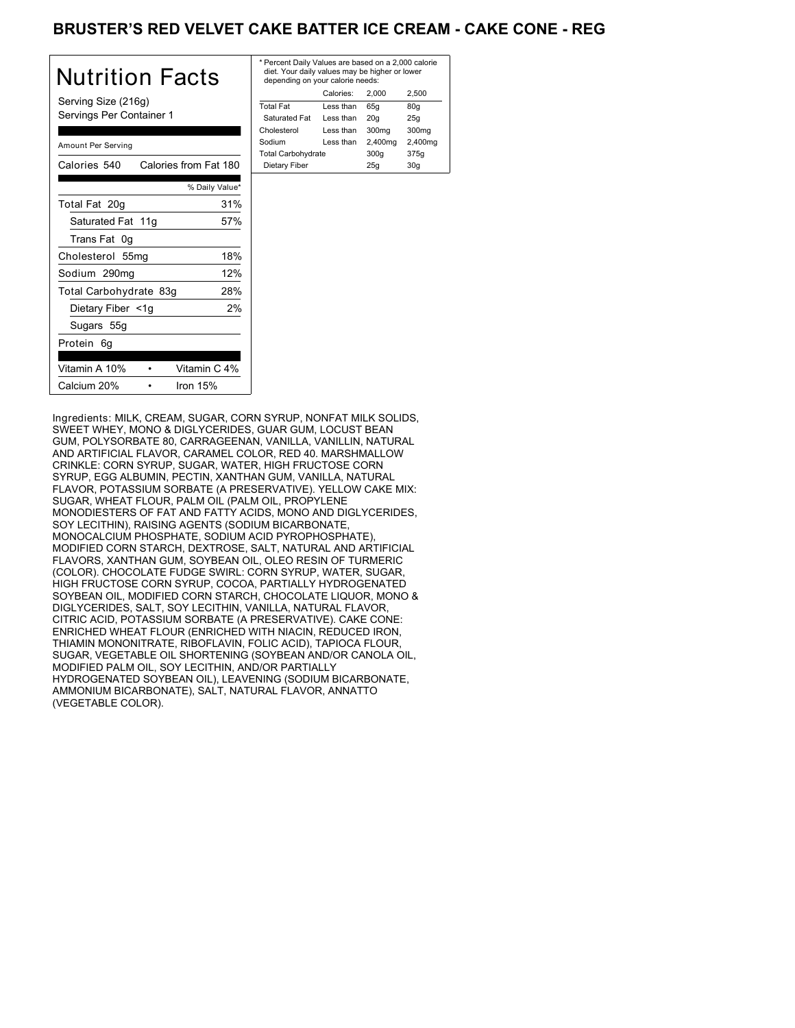# BRUSTER'S RED VELVET CAKE BATTER ICE CREAM - CAKE CONE - REG

| Nutrition Facts                                 | * Per<br>die<br>der |
|-------------------------------------------------|---------------------|
| Serving Size (216g)<br>Servings Per Container 1 | Tota<br>Sat<br>Chol |
| Amount Per Serving                              | Sodi<br>Tota        |
| Calories from Fat 180<br>Calories 540           | Die                 |
| % Daily Value*                                  |                     |
| 31%<br>Total Fat 20g                            |                     |
| Saturated Fat 11g<br>57%                        |                     |
| Trans Fat 0g                                    |                     |
| 18%<br>Cholesterol 55mg                         |                     |
| 12%<br>Sodium 290mg                             |                     |
| 28%<br>Total Carbohydrate 83g                   |                     |
| 2%<br>Dietary Fiber <1g                         |                     |
| Sugars 55g                                      |                     |
| Protein 6g                                      |                     |
| Vitamin C 4%<br>Vitamin A 10%                   |                     |
| Calcium 20%<br>Iron 15%                         |                     |

| * Percent Daily Values are based on a 2,000 calorie<br>diet. Your daily values may be higher or lower<br>depending on your calorie needs: |           |         |         |
|-------------------------------------------------------------------------------------------------------------------------------------------|-----------|---------|---------|
|                                                                                                                                           | Calories: | 2.000   | 2.500   |
| <b>Total Fat</b>                                                                                                                          | Less than | 65q     | 80q     |
| Saturated Fat                                                                                                                             | Less than | 20q     | 25q     |
| Cholesterol                                                                                                                               | Less than | 300mg   | 300mg   |
| Sodium                                                                                                                                    | Less than | 2,400mg | 2,400mg |
| <b>Total Carbohydrate</b>                                                                                                                 |           | 300q    | 375g    |
| Dietary Fiber                                                                                                                             |           | 25q     | 30q     |
|                                                                                                                                           |           |         |         |

Ingredients: MILK, CREAM, SUGAR, CORN SYRUP, NONFAT MILK SOLIDS, SWEET WHEY, MONO & DIGLYCERIDES, GUAR GUM, LOCUST BEAN GUM, POLYSORBATE 80, CARRAGEENAN, VANILLA, VANILLIN, NATURAL AND ARTIFICIAL FLAVOR, CARAMEL COLOR, RED 40. MARSHMALLOW CRINKLE: CORN SYRUP, SUGAR, WATER, HIGH FRUCTOSE CORN SYRUP, EGG ALBUMIN, PECTIN, XANTHAN GUM, VANILLA, NATURAL FLAVOR, POTASSIUM SORBATE (A PRESERVATIVE). YELLOW CAKE MIX: SUGAR, WHEAT FLOUR, PALM OIL (PALM OIL, PROPYLENE MONODIESTERS OF FAT AND FATTY ACIDS, MONO AND DIGLYCERIDES, SOY LECITHIN), RAISING AGENTS (SODIUM BICARBONATE, MONOCALCIUM PHOSPHATE, SODIUM ACID PYROPHOSPHATE), MODIFIED CORN STARCH, DEXTROSE, SALT, NATURAL AND ARTIFICIAL FLAVORS, XANTHAN GUM, SOYBEAN OIL, OLEO RESIN OF TURMERIC (COLOR). CHOCOLATE FUDGE SWIRL: CORN SYRUP, WATER, SUGAR, HIGH FRUCTOSE CORN SYRUP, COCOA, PARTIALLY HYDROGENATED SOYBEAN OIL, MODIFIED CORN STARCH, CHOCOLATE LIQUOR, MONO & DIGLYCERIDES, SALT, SOY LECITHIN, VANILLA, NATURAL FLAVOR, CITRIC ACID, POTASSIUM SORBATE (A PRESERVATIVE). CAKE CONE: ENRICHED WHEAT FLOUR (ENRICHED WITH NIACIN, REDUCED IRON, THIAMIN MONONITRATE, RIBOFLAVIN, FOLIC ACID), TAPIOCA FLOUR, SUGAR, VEGETABLE OIL SHORTENING (SOYBEAN AND/OR CANOLA OIL, MODIFIED PALM OIL, SOY LECITHIN, AND/OR PARTIALLY HYDROGENATED SOYBEAN OIL), LEAVENING (SODIUM BICARBONATE, AMMONIUM BICARBONATE), SALT, NATURAL FLAVOR, ANNATTO (VEGETABLE COLOR).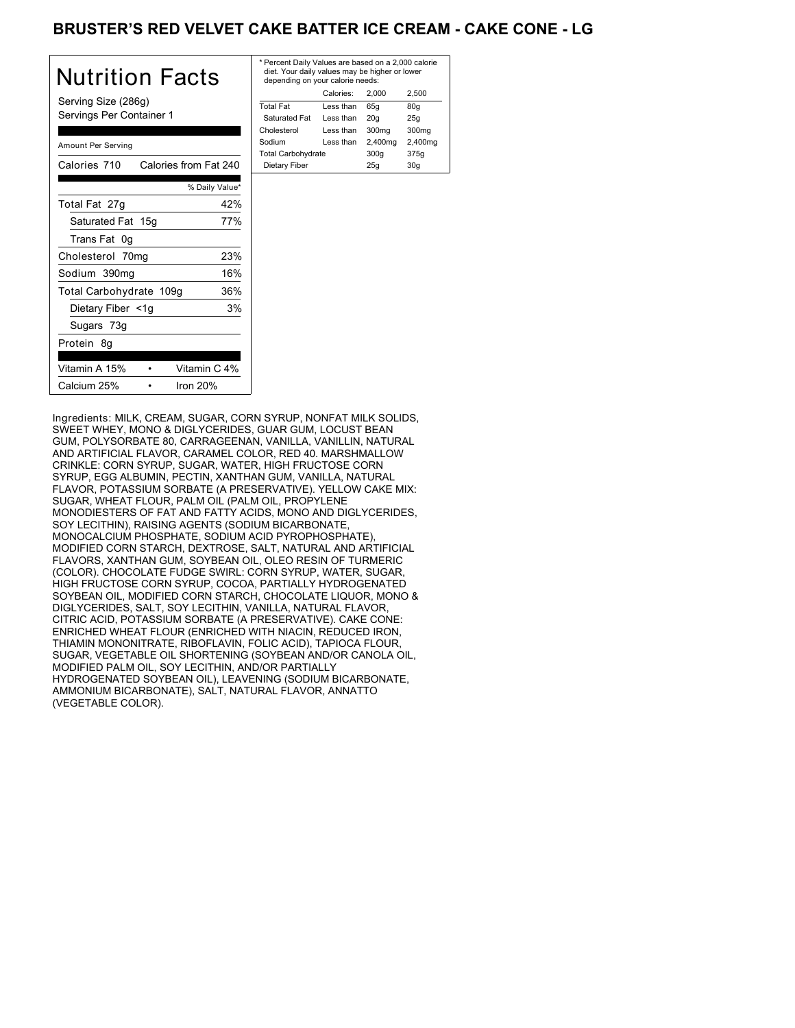# BRUSTER'S RED VELVET CAKE BATTER ICE CREAM - CAKE CONE - LG

| Nutrition Facts                                 | * P<br>di<br>d٥ |
|-------------------------------------------------|-----------------|
| Serving Size (286g)<br>Servings Per Container 1 | Tot<br>S.<br>Ch |
| Amount Per Serving                              | So<br>Tot       |
| Calories from Fat 240<br>Calories 710           | D               |
| % Daily Value*                                  |                 |
| 42%<br>Total Fat 27g                            |                 |
| Saturated Fat 15g<br>77%                        |                 |
| Trans Fat 0g                                    |                 |
| 23%<br>Cholesterol 70mg                         |                 |
| 16%<br>Sodium 390mg                             |                 |
| Total Carbohydrate 109g<br>36%                  |                 |
| 3%<br>Dietary Fiber <1g                         |                 |
| Sugars 73g                                      |                 |
| Protein 8g                                      |                 |
| Vitamin A 15%<br>Vitamin C 4%                   |                 |
| Calcium 25%<br>Iron $20%$                       |                 |

| * Percent Daily Values are based on a 2,000 calorie<br>diet. Your daily values may be higher or lower<br>depending on your calorie needs: |           |         |         |
|-------------------------------------------------------------------------------------------------------------------------------------------|-----------|---------|---------|
|                                                                                                                                           | Calories: | 2.000   | 2.500   |
| <b>Total Fat</b>                                                                                                                          | Less than | 65q     | 80q     |
| Saturated Fat                                                                                                                             | Less than | 20q     | 25q     |
| Cholesterol                                                                                                                               | Less than | 300mg   | 300mg   |
| Sodium                                                                                                                                    | Less than | 2,400mg | 2,400mg |
| <b>Total Carbohydrate</b>                                                                                                                 |           | 300q    | 375g    |
| Dietary Fiber                                                                                                                             |           | 25q     | 30q     |
|                                                                                                                                           |           |         |         |

Ingredients: MILK, CREAM, SUGAR, CORN SYRUP, NONFAT MILK SOLIDS, SWEET WHEY, MONO & DIGLYCERIDES, GUAR GUM, LOCUST BEAN GUM, POLYSORBATE 80, CARRAGEENAN, VANILLA, VANILLIN, NATURAL AND ARTIFICIAL FLAVOR, CARAMEL COLOR, RED 40. MARSHMALLOW CRINKLE: CORN SYRUP, SUGAR, WATER, HIGH FRUCTOSE CORN SYRUP, EGG ALBUMIN, PECTIN, XANTHAN GUM, VANILLA, NATURAL FLAVOR, POTASSIUM SORBATE (A PRESERVATIVE). YELLOW CAKE MIX: SUGAR, WHEAT FLOUR, PALM OIL (PALM OIL, PROPYLENE MONODIESTERS OF FAT AND FATTY ACIDS, MONO AND DIGLYCERIDES, SOY LECITHIN), RAISING AGENTS (SODIUM BICARBONATE, MONOCALCIUM PHOSPHATE, SODIUM ACID PYROPHOSPHATE), MODIFIED CORN STARCH, DEXTROSE, SALT, NATURAL AND ARTIFICIAL FLAVORS, XANTHAN GUM, SOYBEAN OIL, OLEO RESIN OF TURMERIC (COLOR). CHOCOLATE FUDGE SWIRL: CORN SYRUP, WATER, SUGAR, HIGH FRUCTOSE CORN SYRUP, COCOA, PARTIALLY HYDROGENATED SOYBEAN OIL, MODIFIED CORN STARCH, CHOCOLATE LIQUOR, MONO & DIGLYCERIDES, SALT, SOY LECITHIN, VANILLA, NATURAL FLAVOR, CITRIC ACID, POTASSIUM SORBATE (A PRESERVATIVE). CAKE CONE: ENRICHED WHEAT FLOUR (ENRICHED WITH NIACIN, REDUCED IRON, THIAMIN MONONITRATE, RIBOFLAVIN, FOLIC ACID), TAPIOCA FLOUR, SUGAR, VEGETABLE OIL SHORTENING (SOYBEAN AND/OR CANOLA OIL, MODIFIED PALM OIL, SOY LECITHIN, AND/OR PARTIALLY HYDROGENATED SOYBEAN OIL), LEAVENING (SODIUM BICARBONATE, AMMONIUM BICARBONATE), SALT, NATURAL FLAVOR, ANNATTO (VEGETABLE COLOR).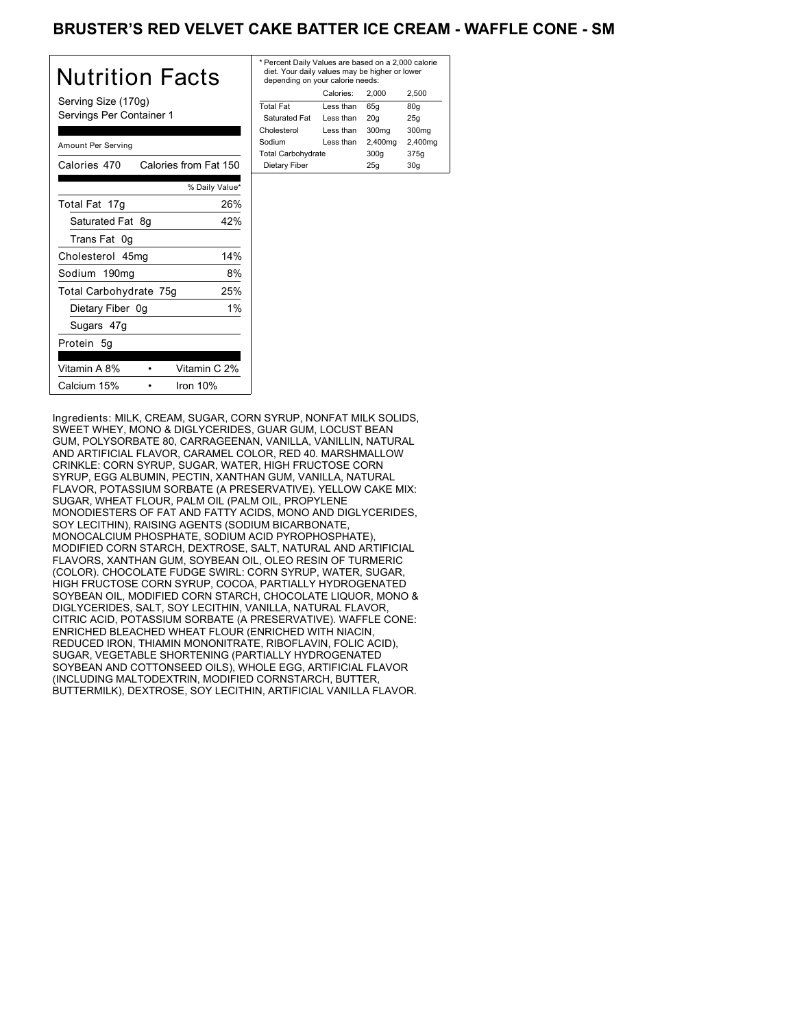## BRUSTER'S RED VELVET CAKE BATTER ICE CREAM - WAFFLE CONE - SM

| Nutrition Facts                                 | * Per<br>diet<br>dep   |
|-------------------------------------------------|------------------------|
| Serving Size (170g)<br>Servings Per Container 1 | Total<br>Satu<br>Chole |
| Amount Per Serving                              | Sodiu<br>Total         |
| Calories from Fat 150<br>Calories 470           | Diet                   |
| % Daily Value*                                  |                        |
| 26%<br>Total Fat 17g                            |                        |
| Saturated Fat 8q<br>42%                         |                        |
| Trans Fat 0g                                    |                        |
| 14%<br>Cholesterol 45mg                         |                        |
| Sodium 190mg<br>8%                              |                        |
| 25%<br>Total Carbohydrate 75g                   |                        |
| 1%<br>Dietary Fiber 0g                          |                        |
| Sugars 47g                                      |                        |
| Protein 5q                                      |                        |
| Vitamin A 8%<br>Vitamin C 2%                    |                        |
| Calcium 15%<br>Iron $10%$                       |                        |

| * Percent Daily Values are based on a 2,000 calorie<br>diet. Your daily values may be higher or lower<br>depending on your calorie needs: |           |         |         |
|-------------------------------------------------------------------------------------------------------------------------------------------|-----------|---------|---------|
|                                                                                                                                           | Calories: | 2.000   | 2.500   |
| <b>Total Fat</b>                                                                                                                          | Less than | 65q     | 80q     |
| Saturated Fat                                                                                                                             | Less than | 20q     | 25q     |
| Cholesterol                                                                                                                               | Less than | 300mg   | 300mg   |
| Sodium                                                                                                                                    | Less than | 2,400mg | 2,400mg |
| <b>Total Carbohydrate</b>                                                                                                                 |           | 300q    | 375g    |
| Dietary Fiber<br>30q<br>25q                                                                                                               |           |         |         |
|                                                                                                                                           |           |         |         |

Ingredients: MILK, CREAM, SUGAR, CORN SYRUP, NONFAT MILK SOLIDS, SWEET WHEY, MONO & DIGLYCERIDES, GUAR GUM, LOCUST BEAN GUM, POLYSORBATE 80, CARRAGEENAN, VANILLA, VANILLIN, NATURAL AND ARTIFICIAL FLAVOR, CARAMEL COLOR, RED 40. MARSHMALLOW CRINKLE: CORN SYRUP, SUGAR, WATER, HIGH FRUCTOSE CORN SYRUP, EGG ALBUMIN, PECTIN, XANTHAN GUM, VANILLA, NATURAL FLAVOR, POTASSIUM SORBATE (A PRESERVATIVE). YELLOW CAKE MIX: SUGAR, WHEAT FLOUR, PALM OIL (PALM OIL, PROPYLENE MONODIESTERS OF FAT AND FATTY ACIDS, MONO AND DIGLYCERIDES, SOY LECITHIN), RAISING AGENTS (SODIUM BICARBONATE, MONOCALCIUM PHOSPHATE, SODIUM ACID PYROPHOSPHATE), MODIFIED CORN STARCH, DEXTROSE, SALT, NATURAL AND ARTIFICIAL FLAVORS, XANTHAN GUM, SOYBEAN OIL, OLEO RESIN OF TURMERIC (COLOR). CHOCOLATE FUDGE SWIRL: CORN SYRUP, WATER, SUGAR, HIGH FRUCTOSE CORN SYRUP, COCOA, PARTIALLY HYDROGENATED SOYBEAN OIL, MODIFIED CORN STARCH, CHOCOLATE LIQUOR, MONO & DIGLYCERIDES, SALT, SOY LECITHIN, VANILLA, NATURAL FLAVOR, CITRIC ACID, POTASSIUM SORBATE (A PRESERVATIVE). WAFFLE CONE: ENRICHED BLEACHED WHEAT FLOUR (ENRICHED WITH NIACIN, REDUCED IRON, THIAMIN MONONITRATE, RIBOFLAVIN, FOLIC ACID), SUGAR, VEGETABLE SHORTENING (PARTIALLY HYDROGENATED SOYBEAN AND COTTONSEED OILS), WHOLE EGG, ARTIFICIAL FLAVOR (INCLUDING MALTODEXTRIN, MODIFIED CORNSTARCH, BUTTER, BUTTERMILK), DEXTROSE, SOY LECITHIN, ARTIFICIAL VANILLA FLAVOR.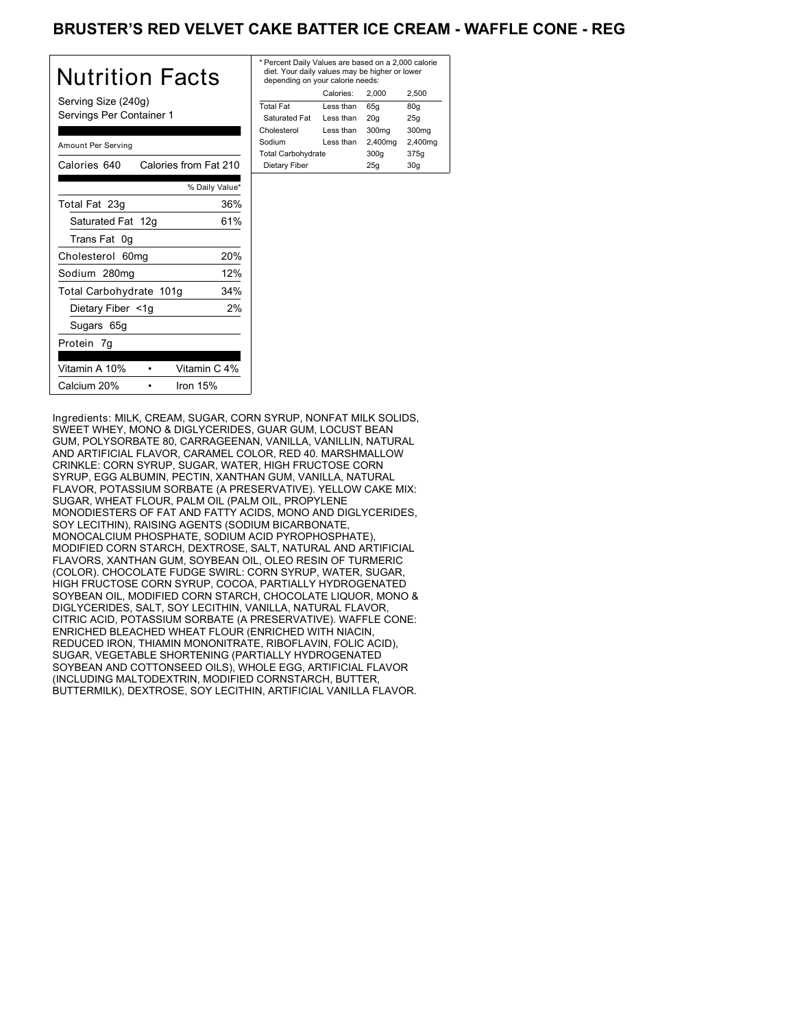# BRUSTER'S RED VELVET CAKE BATTER ICE CREAM - WAFFLE CONE - REG

| <b>Nutrition Facts</b>                          | $*$ Pe<br>di<br>de |
|-------------------------------------------------|--------------------|
| Serving Size (240g)<br>Servings Per Container 1 | Tot<br>Sε<br>Cho   |
| Amount Per Serving                              | Soc<br>Tot         |
| Calories 640<br>Calories from Fat 210           | Di                 |
| % Daily Value*                                  |                    |
| 36%<br>Total Fat 23g                            |                    |
| 61%<br>Saturated Fat 12g                        |                    |
| Trans Fat 0g                                    |                    |
| 20%<br>Cholesterol 60mg                         |                    |
| 12%<br>Sodium 280mg                             |                    |
| 34%<br>Total Carbohydrate 101g                  |                    |
| Dietary Fiber <1g<br>2%                         |                    |
| Sugars 65g                                      |                    |
| Protein 7g                                      |                    |
| Vitamin C 4%<br>Vitamin A 10%                   |                    |
| Calcium 20%<br>Iron $15%$                       |                    |

| * Percent Daily Values are based on a 2,000 calorie<br>diet. Your daily values may be higher or lower<br>depending on your calorie needs: |           |         |         |
|-------------------------------------------------------------------------------------------------------------------------------------------|-----------|---------|---------|
|                                                                                                                                           | Calories: | 2.000   | 2.500   |
| <b>Total Fat</b>                                                                                                                          | Less than | 65q     | 80q     |
| Saturated Fat                                                                                                                             | Less than | 20q     | 25q     |
| Cholesterol                                                                                                                               | Less than | 300mg   | 300mg   |
| Sodium                                                                                                                                    | Less than | 2,400mg | 2,400mg |
| <b>Total Carbohydrate</b>                                                                                                                 |           | 300q    | 375g    |
| Dietary Fiber                                                                                                                             |           | 25q     | 30q     |

Ingredients: MILK, CREAM, SUGAR, CORN SYRUP, NONFAT MILK SOLIDS, SWEET WHEY, MONO & DIGLYCERIDES, GUAR GUM, LOCUST BEAN GUM, POLYSORBATE 80, CARRAGEENAN, VANILLA, VANILLIN, NATURAL AND ARTIFICIAL FLAVOR, CARAMEL COLOR, RED 40. MARSHMALLOW CRINKLE: CORN SYRUP, SUGAR, WATER, HIGH FRUCTOSE CORN SYRUP, EGG ALBUMIN, PECTIN, XANTHAN GUM, VANILLA, NATURAL FLAVOR, POTASSIUM SORBATE (A PRESERVATIVE). YELLOW CAKE MIX: SUGAR, WHEAT FLOUR, PALM OIL (PALM OIL, PROPYLENE MONODIESTERS OF FAT AND FATTY ACIDS, MONO AND DIGLYCERIDES, SOY LECITHIN), RAISING AGENTS (SODIUM BICARBONATE, MONOCALCIUM PHOSPHATE, SODIUM ACID PYROPHOSPHATE), MODIFIED CORN STARCH, DEXTROSE, SALT, NATURAL AND ARTIFICIAL FLAVORS, XANTHAN GUM, SOYBEAN OIL, OLEO RESIN OF TURMERIC (COLOR). CHOCOLATE FUDGE SWIRL: CORN SYRUP, WATER, SUGAR, HIGH FRUCTOSE CORN SYRUP, COCOA, PARTIALLY HYDROGENATED SOYBEAN OIL, MODIFIED CORN STARCH, CHOCOLATE LIQUOR, MONO & DIGLYCERIDES, SALT, SOY LECITHIN, VANILLA, NATURAL FLAVOR, CITRIC ACID, POTASSIUM SORBATE (A PRESERVATIVE). WAFFLE CONE: ENRICHED BLEACHED WHEAT FLOUR (ENRICHED WITH NIACIN, REDUCED IRON, THIAMIN MONONITRATE, RIBOFLAVIN, FOLIC ACID), SUGAR, VEGETABLE SHORTENING (PARTIALLY HYDROGENATED SOYBEAN AND COTTONSEED OILS), WHOLE EGG, ARTIFICIAL FLAVOR (INCLUDING MALTODEXTRIN, MODIFIED CORNSTARCH, BUTTER, BUTTERMILK), DEXTROSE, SOY LECITHIN, ARTIFICIAL VANILLA FLAVOR.